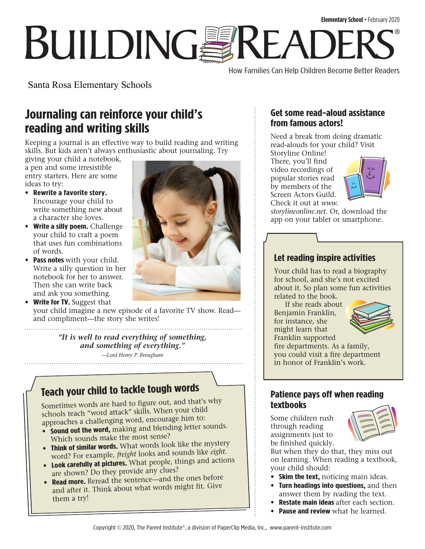# **Elementary School** • February 2020 **BUILDINGSREADE** ®

How Families Can Help Children Become Better Readers

Santa Rosa Elementary Schools

# **Journaling can reinforce your child's reading and writing skills**

Keeping a journal is an effective way to build reading and writing skills. But kids aren't always enthusiastic about journaling. Try

giving your child a notebook, a pen and some irresistible entry starters. Here are some ideas to try:

- **Rewrite a favorite story.** Encourage your child to write something new about a character she loves.
- **Write a silly poem.** Challenge your child to craft a poem that uses fun combinations of words.
- **Pass notes** with your child. Write a silly question in her notebook for her to answer. Then she can write back and ask you something.

• **Write for TV.** Suggest that your child imagine a new episode of a favorite TV show. Read and compliment—the story she writes!

> *"It is well to read everything of something, and something of everything." —Lord Henry P. Brougham*

# **Teach your child to tackle tough words**

Sometimes words are hard to figure out, and that's why schools teach "word attack" skills. When your child approaches a challenging word, encourage him to:

- **Sound out the word,** making and blending letter sounds. Which sounds make the most sense?
- **Think of similar words.** What words look like the mystery word? For example, *freight* looks and sounds like *eight*.
- **Look carefully at pictures.** What people, things and actions are shown? Do they provide any clues?
- **Read more.** Reread the sentence—and the ones before and after it. Think about what words might fit. Give them a try!



#### **Get some read-aloud assistance from famous actors!**

Need a break from doing dramatic read-alouds for your child? Visit

Storyline Online! There, you'll find video recordings of popular stories read by members of the Screen Actors Guild. Check it out at *[www.](http://www.storylineonline.net)*



*[storylineonline.net](http://www.storylineonline.net)*. Or, download the app on your tablet or smartphone.

#### **Let reading inspire activities**

Your child has to read a biography for school, and she's not excited about it. So plan some fun activities related to the book.

 If she reads about Benjamin Franklin, for instance, she might learn that Franklin supported



fire departments. As a family, you could visit a fire department in honor of Franklin's work.

#### **Patience pays off when reading textbooks**

Some children rush through reading assignments just to be finished quickly.



But when they do that, they miss out on learning. When reading a textbook, your child should:

- **Skim the text,** noticing main ideas.
- **Turn headings into questions,** and then answer them by reading the text.
- **Restate main ideas** after each section.
	- **Pause and review** what he learned.